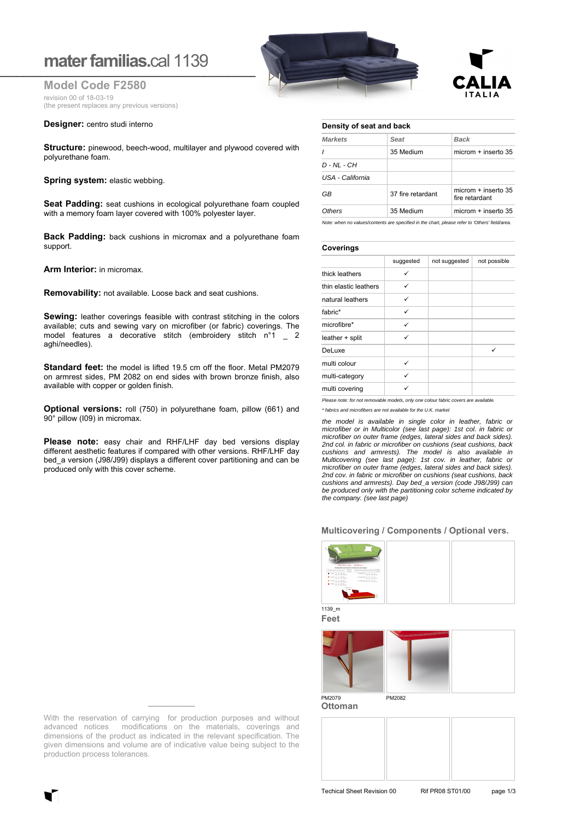# **mater familias.cal 1139**

**Model Code F2580** revision 00 of 18-03-19 (the present replaces any previous versions)

## **Designer:** centro studi interno

**Structure:** pinewood, beech-wood, multilayer and plywood covered with polyurethane foam.

## **Spring system: elastic webbing.**

**Seat Padding:** seat cushions in ecological polyurethane foam coupled with a memory foam layer covered with 100% polyester layer.

**Back Padding:** back cushions in micromax and a polyurethane foam support.

**Arm Interior:** in micromax.

**Removability:** not available. Loose back and seat cushions.

**Sewing:** leather coverings feasible with contrast stitching in the colors available; cuts and sewing vary on microfiber (or fabric) coverings. The model features a decorative stitch (embroidery stitch n°1 \_ 2 aghi/needles).

**Standard feet:** the model is lifted 19.5 cm off the floor. Metal PM2079 on armrest sides, PM 2082 on end sides with brown bronze finish, also available with copper or golden finish.

**Optional versions:** roll (750) in polyurethane foam, pillow (661) and 90° pillow (I09) in micromax.

**Please note:** easy chair and RHF/LHF day bed versions display different aesthetic features if compared with other versions. RHF/LHF day bed a version (J98/J99) displays a different cover partitioning and can be produced only with this cover scheme.





# **Density of seat and back**

| <b>Markets</b>   | Seat              | Back                                    |
|------------------|-------------------|-----------------------------------------|
| $\prime$         | 35 Medium         | microm $+$ inserto 35                   |
| $D - NL - CH$    |                   |                                         |
| USA - California |                   |                                         |
| GB               | 37 fire retardant | microm $+$ inserto 35<br>fire retardant |
| Others           | 35 Medium         | microm + inserto 35                     |

*Note: when no values/contents are specified in the chart, please refer to 'Others' field/area.*

#### **Coverings**

|                       | suggested | not suggested | not possible |
|-----------------------|-----------|---------------|--------------|
| thick leathers        | ✓         |               |              |
| thin elastic leathers | ✓         |               |              |
| natural leathers      | ✓         |               |              |
| fabric*               | ✓         |               |              |
| microfibre*           | ✓         |               |              |
| leather + split       | ✓         |               |              |
| DeLuxe                |           |               | ✓            |
| multi colour          | ✓         |               |              |
| multi-category        | ✓         |               |              |
| multi covering        | ✓         |               |              |

*Please note: for not removable models, only one colour fabric covers are available. \* fabrics and microfibers are not available for the U.K. market*

*the model is available in single color in leather, fabric or microfiber or in Multicolor (see last page): 1st col. in fabric or microfiber on outer frame (edges, lateral sides and back sides). 2nd col. in fabric or microfiber on cushions (seat cushions, back cushions and armrests). The model is also available in Multicovering (see last page): 1st cov. in leather, fabric or microfiber on outer frame (edges, lateral sides and back sides). 2nd cov. in fabric or microfiber on cushions (seat cushions, back cushions and armrests). Day bed\_a version (code J98/J99) can be produced only with the partitioning color scheme indicated by the company. (see last page)*

## **Multicovering / Components / Optional vers.**



**Feet**



**Ottoman**



With the reservation of carrying for production purposes and without advanced notices modifications on the materials, coverings and dimensions of the product as indicated in the relevant specification. The given dimensions and volume are of indicative value being subject to the production process tolerances.

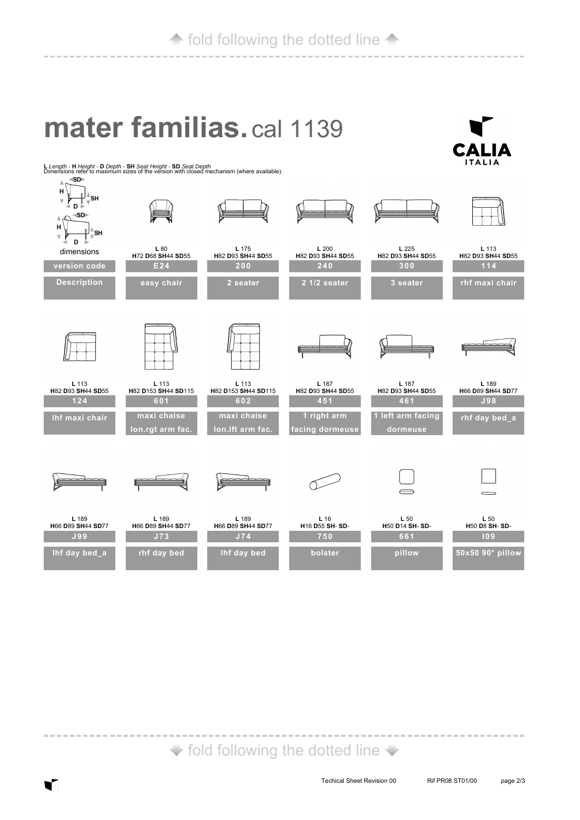# **mater familias.** cal 1139



**<sup>L</sup>***Length -* **<sup>H</sup>***Height -* **<sup>D</sup>***Depth -* **SH** *Seat Height -* **SD** *Seat Depth* Dimensions refer to maximum sizes of the version with closed mechanism (where available).



 $\blacktriangleright$  fold following the dotted line  $\blacktriangleright$